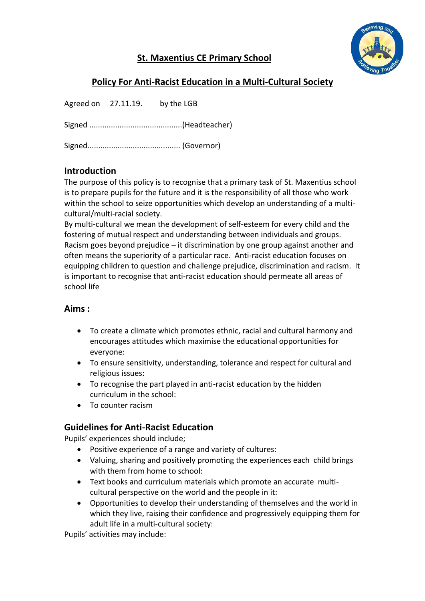

# **St. Maxentius CE Primary School**

# **Policy For Anti-Racist Education in a Multi-Cultural Society**

Agreed on 27.11.19. by the LGB

Signed ...........................................(Headteacher)

Signed........................................... (Governor)

## **Introduction**

The purpose of this policy is to recognise that a primary task of St. Maxentius school is to prepare pupils for the future and it is the responsibility of all those who work within the school to seize opportunities which develop an understanding of a multicultural/multi-racial society.

By multi-cultural we mean the development of self-esteem for every child and the fostering of mutual respect and understanding between individuals and groups. Racism goes beyond prejudice – it discrimination by one group against another and often means the superiority of a particular race. Anti-racist education focuses on equipping children to question and challenge prejudice, discrimination and racism. It is important to recognise that anti-racist education should permeate all areas of school life

#### **Aims :**

- To create a climate which promotes ethnic, racial and cultural harmony and encourages attitudes which maximise the educational opportunities for everyone:
- To ensure sensitivity, understanding, tolerance and respect for cultural and religious issues:
- To recognise the part played in anti-racist education by the hidden curriculum in the school:
- To counter racism

#### **Guidelines for Anti-Racist Education**

Pupils' experiences should include;

- Positive experience of a range and variety of cultures:
- Valuing, sharing and positively promoting the experiences each child brings with them from home to school:
- Text books and curriculum materials which promote an accurate multicultural perspective on the world and the people in it:
- Opportunities to develop their understanding of themselves and the world in which they live, raising their confidence and progressively equipping them for adult life in a multi-cultural society:

Pupils' activities may include: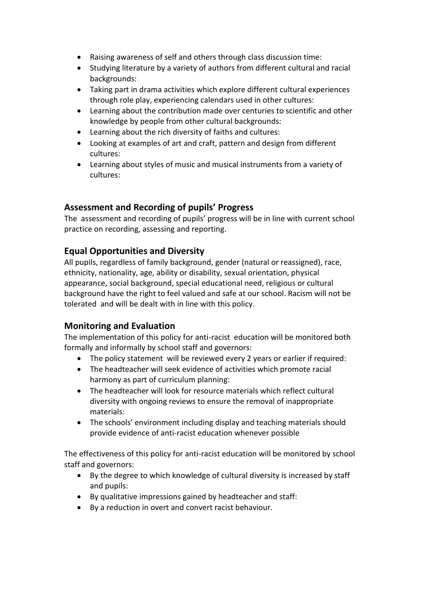- Raising awareness of self and others through class discussion time:
- Studying literature by a variety of authors from different cultural and racial backgrounds:
- Taking part in drama activities which explore different cultural experiences through role play, experiencing calendars used in other cultures:
- Learning about the contribution made over centuries to scientific and other knowledge by people from other cultural backgrounds:
- Learning about the rich diversity of faiths and cultures:
- Looking at examples of art and craft, pattern and design from different cultures:
- Learning about styles of music and musical instruments from a variety of cultures:

## **Assessment and Recording of pupils' Progress**

The assessment and recording of pupils' progress will be in line with current school practice on recording, assessing and reporting.

## **Equal Opportunities and Diversity**

All pupils, regardless of family background, gender (natural or reassigned), race, ethnicity, nationality, age, ability or disability, sexual orientation, physical appearance, social background, special educational need, religious or cultural background have the right to feel valued and safe at our school. Racism will not be tolerated and will be dealt with in line with this policy.

# **Monitoring and Evaluation**

The implementation of this policy for anti-racist education will be monitored both formally and informally by school staff and governors:

- The policy statement will be reviewed every 2 years or earlier if required:
- The headteacher will seek evidence of activities which promote racial harmony as part of curriculum planning:
- The headteacher will look for resource materials which reflect cultural diversity with ongoing reviews to ensure the removal of inappropriate materials:
- The schools' environment including display and teaching materials should provide evidence of anti-racist education whenever possible

The effectiveness of this policy for anti-racist education will be monitored by school staff and governors:

- By the degree to which knowledge of cultural diversity is increased by staff and pupils:
- By qualitative impressions gained by headteacher and staff:
- By a reduction in overt and convert racist behaviour.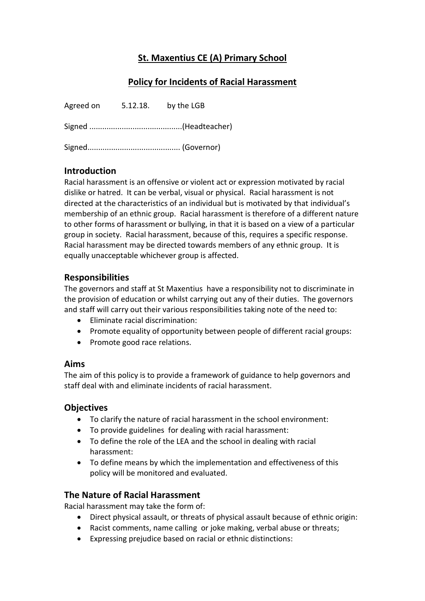# **St. Maxentius CE (A) Primary School**

# **Policy for Incidents of Racial Harassment**

Agreed on 5.12.18. by the LGB Signed ...........................................(Headteacher) Signed........................................... (Governor)

## **Introduction**

Racial harassment is an offensive or violent act or expression motivated by racial dislike or hatred. It can be verbal, visual or physical. Racial harassment is not directed at the characteristics of an individual but is motivated by that individual's membership of an ethnic group. Racial harassment is therefore of a different nature to other forms of harassment or bullying, in that it is based on a view of a particular group in society. Racial harassment, because of this, requires a specific response. Racial harassment may be directed towards members of any ethnic group. It is equally unacceptable whichever group is affected.

#### **Responsibilities**

The governors and staff at St Maxentius have a responsibility not to discriminate in the provision of education or whilst carrying out any of their duties. The governors and staff will carry out their various responsibilities taking note of the need to:

- Eliminate racial discrimination:
- Promote equality of opportunity between people of different racial groups:
- Promote good race relations.

#### **Aims**

The aim of this policy is to provide a framework of guidance to help governors and staff deal with and eliminate incidents of racial harassment.

#### **Objectives**

- To clarify the nature of racial harassment in the school environment:
- To provide guidelines for dealing with racial harassment:
- To define the role of the LEA and the school in dealing with racial harassment:
- To define means by which the implementation and effectiveness of this policy will be monitored and evaluated.

#### **The Nature of Racial Harassment**

Racial harassment may take the form of:

- Direct physical assault, or threats of physical assault because of ethnic origin:
- Racist comments, name calling or joke making, verbal abuse or threats;
- Expressing prejudice based on racial or ethnic distinctions: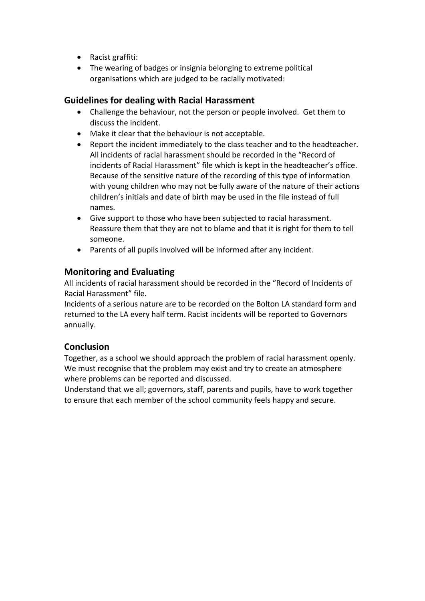- Racist graffiti:
- The wearing of badges or insignia belonging to extreme political organisations which are judged to be racially motivated:

#### **Guidelines for dealing with Racial Harassment**

- Challenge the behaviour, not the person or people involved. Get them to discuss the incident.
- Make it clear that the behaviour is not acceptable.
- Report the incident immediately to the class teacher and to the headteacher. All incidents of racial harassment should be recorded in the "Record of incidents of Racial Harassment" file which is kept in the headteacher's office. Because of the sensitive nature of the recording of this type of information with young children who may not be fully aware of the nature of their actions children's initials and date of birth may be used in the file instead of full names.
- Give support to those who have been subjected to racial harassment. Reassure them that they are not to blame and that it is right for them to tell someone.
- Parents of all pupils involved will be informed after any incident.

#### **Monitoring and Evaluating**

All incidents of racial harassment should be recorded in the "Record of Incidents of Racial Harassment" file.

Incidents of a serious nature are to be recorded on the Bolton LA standard form and returned to the LA every half term. Racist incidents will be reported to Governors annually.

#### **Conclusion**

Together, as a school we should approach the problem of racial harassment openly. We must recognise that the problem may exist and try to create an atmosphere where problems can be reported and discussed.

Understand that we all; governors, staff, parents and pupils, have to work together to ensure that each member of the school community feels happy and secure.